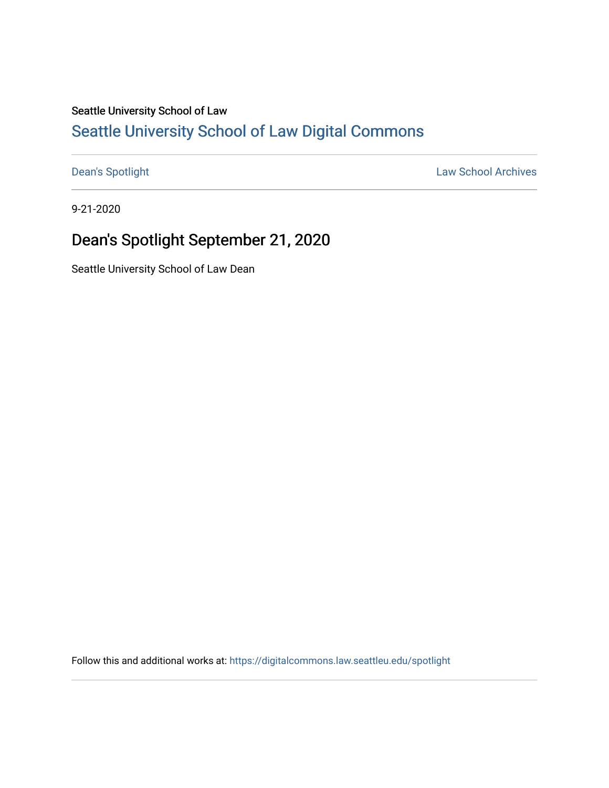### Seattle University School of Law [Seattle University School of Law Digital Commons](https://digitalcommons.law.seattleu.edu/)

**[Dean's Spotlight](https://digitalcommons.law.seattleu.edu/spotlight) Contract Contract Contract Contract Contract Contract Contract Contract Contract Contract Contract Contract Contract Contract Contract Contract Contract Contract Contract Contract Contract Contract Contra** 

9-21-2020

## Dean's Spotlight September 21, 2020

Seattle University School of Law Dean

Follow this and additional works at: [https://digitalcommons.law.seattleu.edu/spotlight](https://digitalcommons.law.seattleu.edu/spotlight?utm_source=digitalcommons.law.seattleu.edu%2Fspotlight%2F158&utm_medium=PDF&utm_campaign=PDFCoverPages)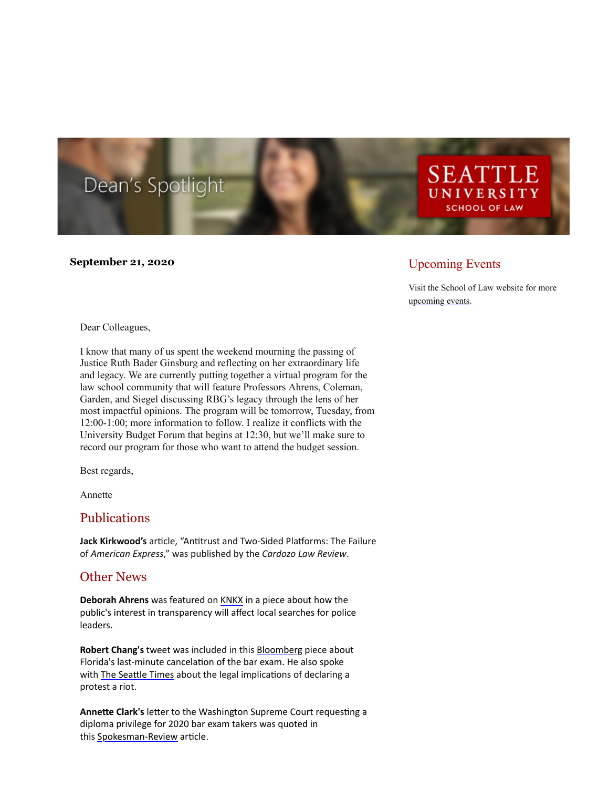# Dean's Spotlight

#### **September 21, 2020**

### **SEATTLE** UNIVERSITY **SCHOOL OF LAW**

### Upcoming Events

Visit the School of Law website for more [upcoming events.](https://nam02.safelinks.protection.outlook.com/?url=https%3A%2F%2Flaw.seattleu.edu%2Fcalendar%3Fview%3Dmonth&data=02%7C01%7Cspoorlaura%40seattleu.edu%7C575d414b422c46bce70a08d7ae64fea7%7Cbc10e052b01c48499967ee7ec74fc9d8%7C0%7C0%7C637169621116277174&sdata=pWA9QwpVEEU7tKyxjXgjJfkQ2TdDeEGf7q2KppbfjTg%3D&reserved=0)

Dear Colleagues,

I know that many of us spent the weekend mourning the passing of Justice Ruth Bader Ginsburg and reflecting on her extraordinary life and legacy. We are currently putting together a virtual program for the law school community that will feature Professors Ahrens, Coleman, Garden, and Siegel discussing RBG's legacy through the lens of her most impactful opinions. The program will be tomorrow, Tuesday, from 12:00-1:00; more information to follow. I realize it conflicts with the University Budget Forum that begins at 12:30, but we'll make sure to record our program for those who want to attend the budget session.

Best regards,

Annette

#### Publications

Jack Kirkwood's article, "Antitrust and Two-Sided Platforms: The Failure of *American Express*," was published by the *Cardozo Law Review*.

#### Other News

**Deborah Ahrens** was featured on [KNKX](https://www.knkx.org/post/professor-transparency-will-be-key-four-regional-police-agencies-get-new-leaders) in a piece about how the public's interest in transparency will affect local searches for police leaders.

**Robert Chang's** tweet was included in this [Bloomberg](https://nam02.safelinks.protection.outlook.com/?url=https%3A%2F%2Fnews.bloomberglaw.com%2Fus-law-week%2Foctober-online-bar-exams-spark-technology-privacy-concerns&data=02%7C01%7Cklecoze%40seattleu.edu%7Cc67a9cd252f944101c3608d85b625979%7Cbc10e052b01c48499967ee7ec74fc9d8%7C0%7C0%7C637359825247451273&sdata=lOjAMlYKa54v5D0QQziEReIickQdCpqL8EKRVl6SFlw%3D&reserved=0) piece about Florida's last-minute cancelation of the bar exam. He also spoke with The Seatt[le Times](https://nam02.safelinks.protection.outlook.com/?url=https%3A%2F%2Fwww.seattletimes.com%2Fseattle-news%2Fseattle-police-have-declared-riots-during-recent-protests-in-legal-terms-what-does-that-mean%2F&data=02%7C01%7Cklecoze%40seattleu.edu%7Cc67a9cd252f944101c3608d85b625979%7Cbc10e052b01c48499967ee7ec74fc9d8%7C0%7C0%7C637359825247461273&sdata=IGR1JYG6vOYFCsn1m%2B9mtR1trJDBtGZZoQkeDVpiDbQ%3D&reserved=0) about the legal implications of declaring a protest a riot.

Annette Clark's letter to the Washington Supreme Court requesting a diploma privilege for 2020 bar exam takers was quoted in this [Spokesman-Review](https://nam02.safelinks.protection.outlook.com/?url=https%3A%2F%2Fwww.spokesman.com%2Fstories%2F2020%2Fjul%2F30%2Fhundreds-become-lawyers-in-washington-state-withou%2F&data=02%7C01%7Cklecoze%40seattleu.edu%7Cc67a9cd252f944101c3608d85b625979%7Cbc10e052b01c48499967ee7ec74fc9d8%7C0%7C0%7C637359825247471268&sdata=CVvX6Fq%2FTEsHo%2FmAUT9xluIUwbgm6wlNCGUXHgYM73Y%3D&reserved=0) article.